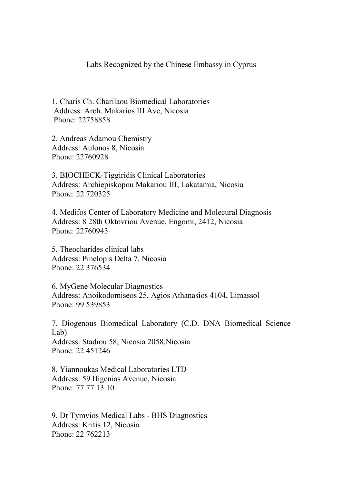## Labs Recognized by the Chinese Embassy in Cyprus

1. Charis Ch. Charilaou Biomedical Laboratories Address: Arch. Makarios III Ave, Nicosia Phone: 22758858

2. Andreas Adamou Chemistry Address: Aulonos 8, Nicosia Phone: 22760928

3. BIOCHECK-Tiggiridis Clinical Laboratories Address: Archiepiskopou Makariou III, Lakatamia, Nicosia Phone: 22 720325

4. Medifos Center of Laboratory Medicine and Molecural Diagnosis Address: 8 28th Oktovriou Avenue, Engomi, 2412, Nicosia Phone: 22760943

5. Theocharides clinical labs Address: Pinelopis Delta 7, Nicosia Phone: 22 376534

6. MyGene Molecular Diagnostics Address: Anoikodomiseos 25, Agios Athanasios 4104, Limassol Phone: 99 539853

7. Diogenous Biomedical Laboratory (C.D. DNA Biomedical Science Lab) Address: Stadiou 58, Nicosia 2058,Nicosia Phone: 22 451246

8. Yiannoukas Medical Laboratories LTD Address: 59 Ifigenias Avenue, Nicosia Phone: 77 77 13 10

9. Dr Tymvios Medical Labs - BHS Diagnostics Address: Kritis 12, Nicosia Phone: 22 762213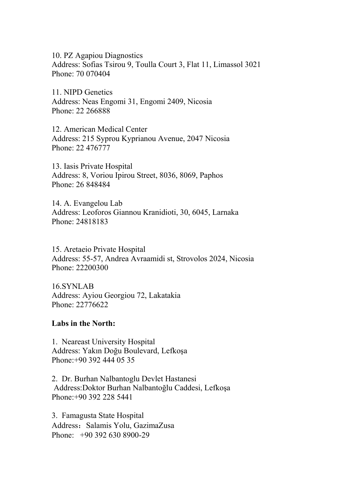10. PZ Agapiou Diagnostics Address: Sofias Tsirou 9, Toulla Court 3, Flat 11, Limassol 3021 Phone: 70 070404

11. NIPD Genetics Address: Neas Engomi 31, Engomi 2409, Nicosia Phone: 22 266888

12. American Medical Center Address: 215 Syprou Kyprianou Avenue, 2047 Nicosia Phone: 22 476777

13. Iasis Private Hospital Address: 8, Voriou Ipirou Street, 8036, 8069, Paphos Phone: 26 848484

14. A. Evangelou Lab Address: Leoforos Giannou Kranidioti, 30, 6045, Larnaka Phone: 24818183

15. Aretaeio Private Hospital Address: 55-57, Andrea Avraamidi st, Strovolos 2024, Nicosia Phone: 22200300

16.SYNLAB Address: Ayiou Georgiou 72, Lakatakia Phone: 22776622

## **Labs in the North:**

1. Neareast University Hospital Address: Yakın Doğu Boulevard, Lefkoşa Phone:+90 392 444 05 35

2. Dr. Burhan Nalbantoglu Devlet Hastanesi Address:Doktor Burhan Nalbantoğlu Caddesi, Lefkoşa Phone:+90 392 228 5441

3. Famagusta State Hospital Address: Salamis Yolu, GazimaZusa Phone: +90 392 630 8900-29